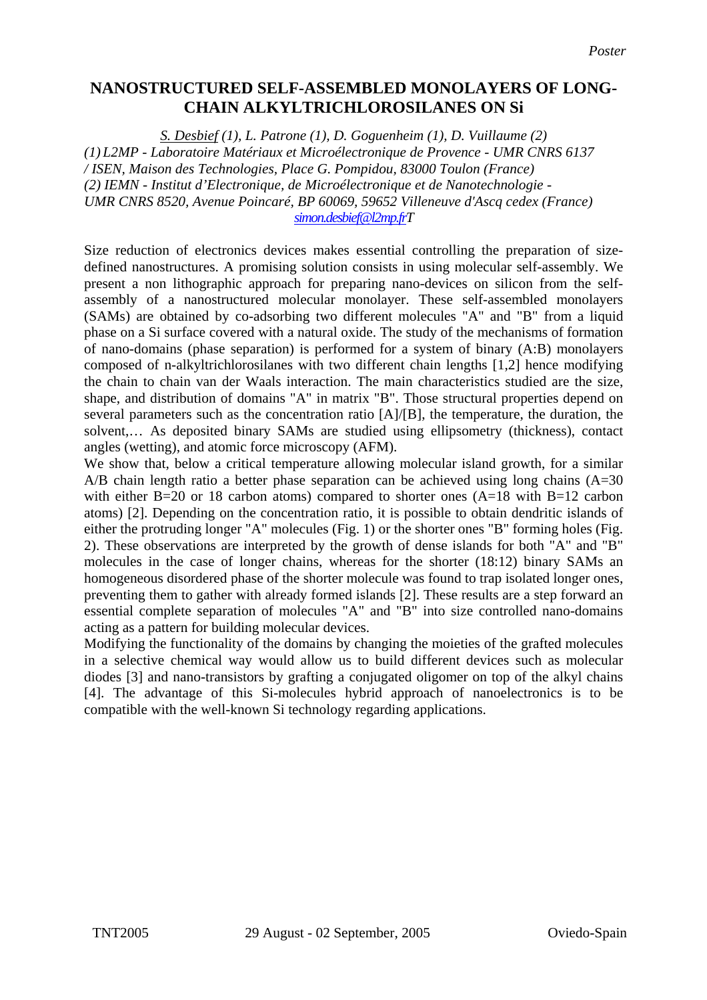## **NANOSTRUCTURED SELF-ASSEMBLED MONOLAYERS OF LONG-CHAIN ALKYLTRICHLOROSILANES ON Si**

*S. Desbief (1), L. Patrone (1), D. Goguenheim (1), D. Vuillaume (2) (1) L2MP - Laboratoire Matériaux et Microélectronique de Provence - UMR CNRS 6137 / ISEN, Maison des Technologies, Place G. Pompidou, 83000 Toulon (France) (2) IEMN - Institut d'Electronique, de Microélectronique et de Nanotechnologie - UMR CNRS 8520, Avenue Poincaré, BP 60069, 59652 Villeneuve d'Ascq cedex (France) simon.desbief@l2mp.frT*

Size reduction of electronics devices makes essential controlling the preparation of sizedefined nanostructures. A promising solution consists in using molecular self-assembly. We present a non lithographic approach for preparing nano-devices on silicon from the selfassembly of a nanostructured molecular monolayer. These self-assembled monolayers (SAMs) are obtained by co-adsorbing two different molecules "A" and "B" from a liquid phase on a Si surface covered with a natural oxide. The study of the mechanisms of formation of nano-domains (phase separation) is performed for a system of binary (A:B) monolayers composed of n-alkyltrichlorosilanes with two different chain lengths [1,2] hence modifying the chain to chain van der Waals interaction. The main characteristics studied are the size, shape, and distribution of domains "A" in matrix "B". Those structural properties depend on several parameters such as the concentration ratio  $[A]/[B]$ , the temperature, the duration, the solvent,… As deposited binary SAMs are studied using ellipsometry (thickness), contact angles (wetting), and atomic force microscopy (AFM).

We show that, below a critical temperature allowing molecular island growth, for a similar  $A/B$  chain length ratio a better phase separation can be achieved using long chains  $(A=30)$ with either B=20 or 18 carbon atoms) compared to shorter ones  $(A=18$  with B=12 carbon atoms) [2]. Depending on the concentration ratio, it is possible to obtain dendritic islands of either the protruding longer "A" molecules (Fig. 1) or the shorter ones "B" forming holes (Fig. 2). These observations are interpreted by the growth of dense islands for both "A" and "B" molecules in the case of longer chains, whereas for the shorter (18:12) binary SAMs an homogeneous disordered phase of the shorter molecule was found to trap isolated longer ones, preventing them to gather with already formed islands [2]. These results are a step forward an essential complete separation of molecules "A" and "B" into size controlled nano-domains acting as a pattern for building molecular devices.

Modifying the functionality of the domains by changing the moieties of the grafted molecules in a selective chemical way would allow us to build different devices such as molecular diodes [3] and nano-transistors by grafting a conjugated oligomer on top of the alkyl chains [4]. The advantage of this Si-molecules hybrid approach of nanoelectronics is to be compatible with the well-known Si technology regarding applications.